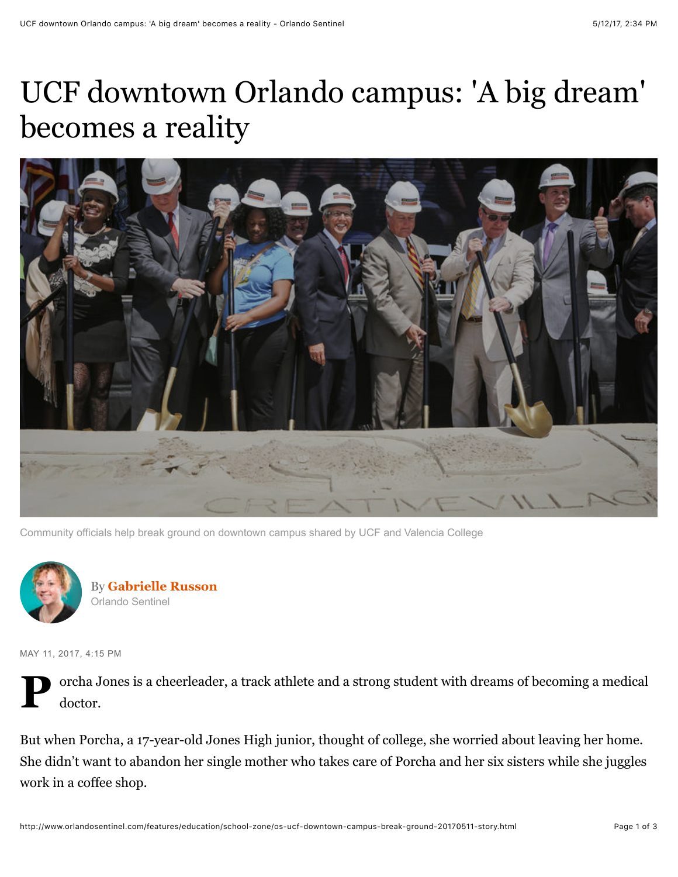## UCF downtown Orlando campus: 'A big dream' becomes a reality



Community officials help break ground on downtown campus shared by UCF and Valencia College



By **[Gabrielle Russon](http://www.orlandosentinel.com/os-gabrielle-russon-bio-20141205-staff.html#nt=byline)** Orlando Sentinel

MAY 11, 2017, 4:15 PM



But when Porcha, a 17-year-old Jones High junior, thought of college, she worried about leaving her home. She didn't want to abandon her single mother who takes care of Porcha and her six sisters while she juggles work in a coffee shop.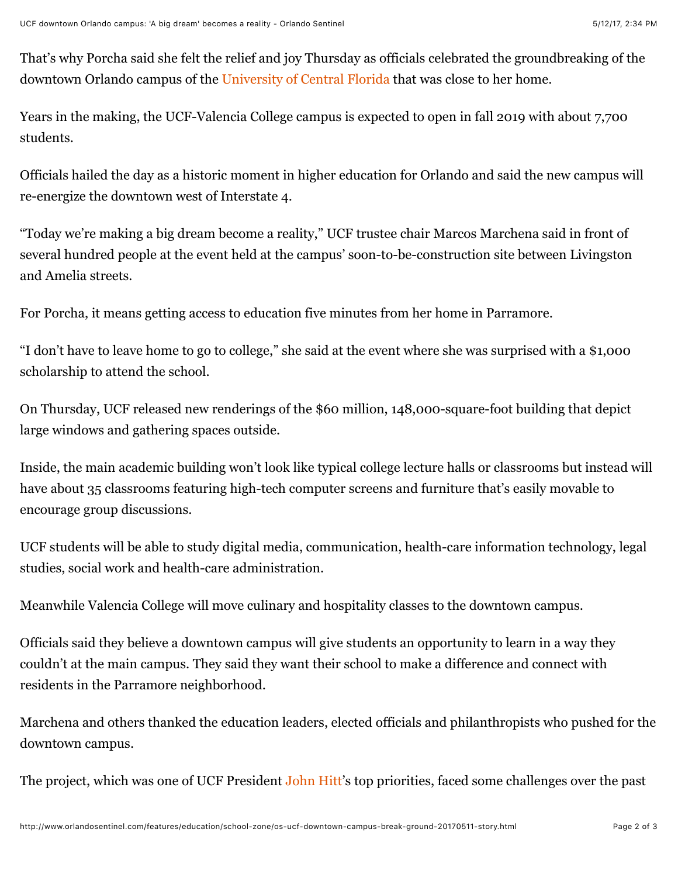That's why Porcha said she felt the relief and joy Thursday as officials celebrated the groundbreaking of the downtown Orlando campus of the [University of Central Florida](http://www.orlandosentinel.com/sports/college/knights/) that was close to her home.

Years in the making, the UCF-Valencia College campus is expected to open in fall 2019 with about 7,700 students.

Officials hailed the day as a historic moment in higher education for Orlando and said the new campus will re-energize the downtown west of Interstate 4.

"Today we're making a big dream become a reality," UCF trustee chair Marcos Marchena said in front of several hundred people at the event held at the campus' soon-to-be-construction site between Livingston and Amelia streets.

For Porcha, it means getting access to education five minutes from her home in Parramore.

"I don't have to leave home to go to college," she said at the event where she was surprised with a \$1,000 scholarship to attend the school.

On Thursday, UCF released new renderings of the \$60 million, 148,000-square-foot building that depict large windows and gathering spaces outside.

Inside, the main academic building won't look like typical college lecture halls or classrooms but instead will have about 35 classrooms featuring high-tech computer screens and furniture that's easily movable to encourage group discussions.

UCF students will be able to study digital media, communication, health-care information technology, legal studies, social work and health-care administration.

Meanwhile Valencia College will move culinary and hospitality classes to the downtown campus.

Officials said they believe a downtown campus will give students an opportunity to learn in a way they couldn't at the main campus. They said they want their school to make a difference and connect with residents in the Parramore neighborhood.

Marchena and others thanked the education leaders, elected officials and philanthropists who pushed for the downtown campus.

The project, which was one of UCF President [John Hitt](http://www.orlandosentinel.com/topic/education/colleges-universities/john-hitt-PEBSL000176-topic.html)'s top priorities, faced some challenges over the past